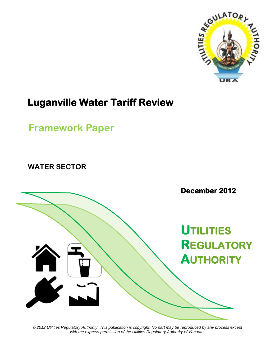

# **Luganville Water Tariff Review**



**WATER SECTOR**



*© 2012 Utilities Regulatory Authority. This publication is copyright. No part may be reproduced by any process except with the express permission of the Utilities Regulatory Authority of Vanuatu.*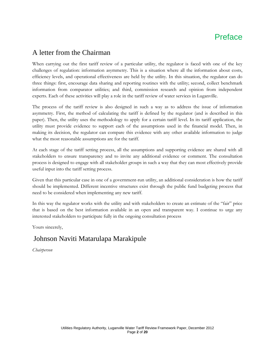## Preface

## A letter from the Chairman

When carrying out the first tariff review of a particular utility, the regulator is faced with one of the key challenges of regulation: information asymmetry. This is a situation where all the information about costs, efficiency levels, and operational effectiveness are held by the utility. In this situation, the regulator can do three things: first, encourage data sharing and reporting routines with the utility; second, collect benchmark information from comparator utilities; and third, commission research and opinion from independent experts. Each of these activities will play a role in the tariff review of water services in Luganville.

The process of the tariff review is also designed in such a way as to address the issue of information asymmetry. First, the method of calculating the tariff is defined by the regulator (and is described in this paper). Then, the utility uses the methodology to apply for a certain tariff level. In its tariff application, the utility must provide evidence to support each of the assumptions used in the financial model. Then, in making its decision, the regulator can compare this evidence with any other available information to judge what the most reasonable assumptions are for the tariff.

At each stage of the tariff setting process, all the assumptions and supporting evidence are shared with all stakeholders to ensure transparency and to invite any additional evidence or comment. The consultation process is designed to engage with all stakeholder groups in such a way that they can most effectively provide useful input into the tariff setting process.

Given that this particular case in one of a government-run utility, an additional consideration is how the tariff should be implemented. Different incentive structures exist through the public fund budgeting process that need to be considered when implementing any new tariff.

In this way the regulator works with the utility and with stakeholders to create an estimate of the "fair" price that is based on the best information available in an open and transparent way. I continue to urge any interested stakeholders to participate fully in the ongoing consultation process

Yours sincerely,

## Johnson Naviti Matarulapa Marakipule

*Chairperson*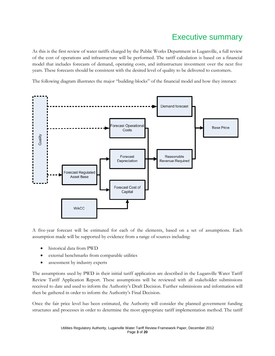## Executive summary

As this is the first review of water tariffs charged by the Public Works Department in Luganville, a full review of the cost of operations and infrastructure will be performed. The tariff calculation is based on a financial model that includes forecasts of demand, operating costs, and infrastructure investment over the next five years. These forecasts should be consistent with the desired level of quality to be delivered to customers.

The following diagram illustrates the major "building-blocks" of the financial model and how they interact:



A five-year forecast will be estimated for each of the elements, based on a set of assumptions. Each assumption made will be supported by evidence from a range of sources including:

- historical data from PWD
- external benchmarks from comparable utilities
- assessment by industry experts

The assumptions used by PWD in their initial tariff application are described in the Luganville Water Tariff Review Tariff Application Report. These assumptions will be reviewed with all stakeholder submissions received to date and used to inform the Authority's Draft Decision. Further submissions and information will then be gathered in order to inform the Authority's Final Decision.

Once the fair price level has been estimated, the Authority will consider the planned government funding structures and processes in order to determine the most appropriate tariff implementation method. The tariff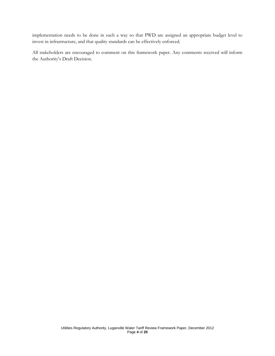implementation needs to be done in such a way so that PWD are assigned an appropriate budget level to invest in infrastructure, and that quality standards can be effectively enforced.

All stakeholders are encouraged to comment on this framework paper. Any comments received will inform the Authority's Draft Decision.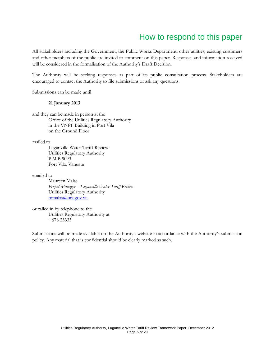## How to respond to this paper

All stakeholders including the Government, the Public Works Department, other utilities, existing customers and other members of the public are invited to comment on this paper. Responses and information received will be considered in the formalisation of the Authority's Draft Decision.

The Authority will be seeking responses as part of its public consultation process. Stakeholders are encouraged to contact the Authority to file submissions or ask any questions.

Submissions can be made until

#### **21 January 2013**

and they can be made in person at the Office of the Utilities Regulatory Authority in the VNPF Building in Port Vila on the Ground Floor

mailed to

Luganville Water Tariff Review Utilities Regulatory Authority P.M.B 9093 Port Vila, Vanuatu

emailed to

Maureen Malas *Project Manager – Luganville Water Tariff Review* Utilities Regulatory Authority [mmalas@ura.gov.vu](mailto:mmalas@ura.gov.vu)

or called in by telephone to the Utilities Regulatory Authority at +678 23335

Submissions will be made available on the Authority's website in accordance with the Authority's submission policy. Any material that is confidential should be clearly marked as such.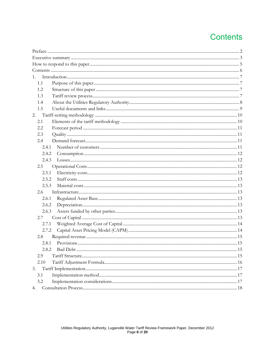## **Contents**

| $1_{\ldots}$  |  |
|---------------|--|
| 1.1           |  |
| 1.2           |  |
| 1.3           |  |
| 1.4           |  |
| 1.5           |  |
| 2.            |  |
| 2.1           |  |
| 2.2           |  |
| 2.3           |  |
| 2.4           |  |
| 2.4.1         |  |
| 2.4.2         |  |
| 2.4.3         |  |
| 2.5           |  |
| 2.5.1         |  |
| 2.5.2         |  |
| 2.5.3         |  |
| $2.6^{\circ}$ |  |
| 2.6.1         |  |
| 2.6.2         |  |
| 2.6.3         |  |
| 2.7           |  |
| 2.7.1         |  |
| 2.7.2         |  |
| 2.8           |  |
| 2.8.1         |  |
|               |  |
| 2.9           |  |
| 2.10          |  |
| 3.            |  |
| 3.1           |  |
| 3.2           |  |
| 4.            |  |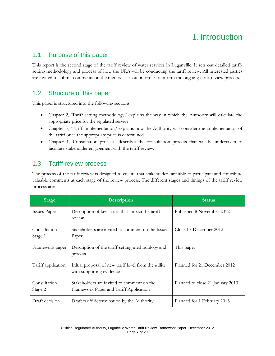## 1. Introduction

### 1.1 Purpose of this paper

This report is the second stage of the tariff review of water services in Luganville. It sets out detailed tariffsetting methodology and process of how the URA will be conducting the tariff review. All interested parties are invited to submit comments on the methods set out in order to inform the ongoing tariff review process.

## 1.2 Structure of this paper

This paper is structured into the following sections:

- Chapter 2, 'Tariff setting methodology,' explains the way in which the Authority will calculate the appropriate price for the regulated service.
- Chapter 3, 'Tariff Implementation,' explains how the Authority will consider the implementation of the tariff once the appropriate price is determined.
- Chapter 4, 'Consultation process,' describes the consultation process that will be undertaken to facilitate stakeholder engagement with the tariff review.

## 1.3 Tariff review process

The process of the tariff review is designed to ensure that stakeholders are able to participate and contribute valuable comments at each stage of the review process. The different stages and timings of the tariff review process are:

| <b>Stage</b>                                                                                                    | Description                                                                       | <b>Status</b>                    |
|-----------------------------------------------------------------------------------------------------------------|-----------------------------------------------------------------------------------|----------------------------------|
| Issues Paper                                                                                                    | Description of key issues that impact the tariff<br>review                        | Published 8 November 2012        |
| Consultation<br>Stage 1                                                                                         | Stakeholders are invited to comment on the Issues<br>Paper                        | Closed 7 December 2012           |
| Framework paper                                                                                                 | Description of the tariff-setting methodology and<br>process                      | This paper                       |
| Tariff application                                                                                              | Initial proposal of new tariff level from the utility<br>with supporting evidence | Planned for 21 December 2012     |
| Consultation<br>Stakeholders are invited to comment on the<br>Framework Paper and Tariff Application<br>Stage 2 |                                                                                   | Planned to close 21 January 2013 |
| Draft decision                                                                                                  | Draft tariff determination by the Authority                                       | Planned for 1 February 2013      |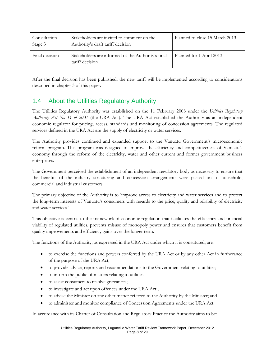| Consultation<br>Stage 3 | Stakeholders are invited to comment on the<br>Authority's draft tariff decision | Planned to close 15 March 2013 |
|-------------------------|---------------------------------------------------------------------------------|--------------------------------|
| Final decision          | Stakeholders are informed of the Authority's final<br>tariff decision           | Planned for 1 April 2013       |

After the final decision has been published, the new tariff will be implemented according to considerations described in chapter 3 of this paper.

## 1.4 About the Utilities Regulatory Authority

The Utilities Regulatory Authority was established on the 11 February 2008 under the *Utilities Regulatory Authority Act No 11 of 20*07 (the URA Act). The URA Act established the Authority as an independent economic regulator for pricing, access, standards and monitoring of concession agreements. The regulated services defined in the URA Act are the supply of electricity or water services.

The Authority provides continued and expanded support to the Vanuatu Government's microeconomic reform program. This program was designed to improve the efficiency and competitiveness of Vanuatu's economy through the reform of the electricity, water and other current and former government business enterprises.

The Government perceived the establishment of an independent regulatory body as necessary to ensure that the benefits of the industry structuring and concession arrangements were passed on to household, commercial and industrial customers.

The primary objective of the Authority is to 'improve access to electricity and water services and to protect the long-term interests of Vanuatu's consumers with regards to the price, quality and reliability of electricity and water services.'

This objective is central to the framework of economic regulation that facilitates the efficiency and financial viability of regulated utilities, prevents misuse of monopoly power and ensures that customers benefit from quality improvements and efficiency gains over the longer term.

The functions of the Authority, as expressed in the URA Act under which it is constituted, are:

- to exercise the functions and powers conferred by the URA Act or by any other Act in furtherance of the purpose of the URA Act;
- to provide advice, reports and recommendations to the Government relating to utilities;
- to inform the public of matters relating to utilities;
- to assist consumers to resolve grievances;
- to investigate and act upon offences under the URA Act ;
- to advise the Minister on any other matter referred to the Authority by the Minister; and
- to administer and monitor compliance of Concession Agreements under the URA Act.

In accordance with its Charter of Consultation and Regulatory Practice the Authority aims to be: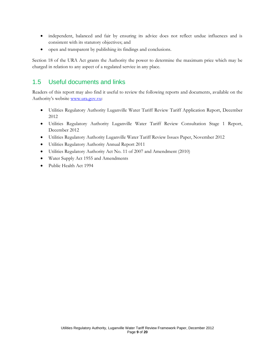- independent, balanced and fair by ensuring its advice does not reflect undue influences and is consistent with its statutory objectives; and
- open and transparent by publishing its findings and conclusions.

Section 18 of the URA Act grants the Authority the power to determine the maximum price which may be charged in relation to any aspect of a regulated service in any place.

## 1.5 Useful documents and links

Readers of this report may also find it useful to review the following reports and documents, available on the Authority's website [www.ura.gov.vu:](http://www.ura.gov.vu/)

- Utilities Regulatory Authority Luganville Water Tariff Review Tariff Application Report, December 2012
- Utilities Regulatory Authority Luganville Water Tariff Review Consultation Stage 1 Report, December 2012
- Utilities Regulatory Authority Luganville Water Tariff Review Issues Paper, November 2012
- Utilities Regulatory Authority Annual Report 2011
- Utilities Regulatory Authority Act No. 11 of 2007 and Amendment (2010)
- Water Supply Act 1955 and Amendments
- Public Health Act 1994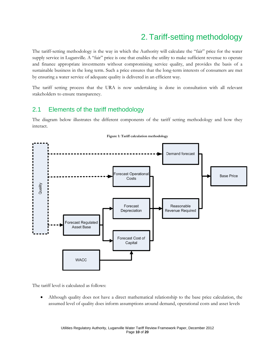## 2. Tariff-setting methodology

The tariff-setting methodology is the way in which the Authority will calculate the "fair" price for the water supply service in Luganville. A "fair" price is one that enables the utility to make sufficient revenue to operate and finance appropriate investments without compromising service quality, and provides the basis of a sustainable business in the long term. Such a price ensures that the long-term interests of consumers are met by ensuring a water service of adequate quality is delivered in an efficient way.

The tariff setting process that the URA is now undertaking is done in consultation with all relevant stakeholders to ensure transparency.

## 2.1 Elements of the tariff methodology

The diagram below illustrates the different components of the tariff setting methodology and how they interact.





The tariff level is calculated as follows:

 Although quality does not have a direct mathematical relationship to the base price calculation, the assumed level of quality does inform assumptions around demand, operational costs and asset levels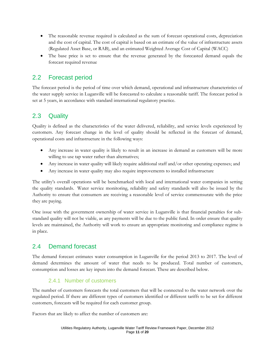- The reasonable revenue required is calculated as the sum of forecast operational costs, depreciation and the cost of capital. The cost of capital is based on an estimate of the value of infrastructure assets (Regulated Asset Base, or RAB), and an estimated Weighted Average Cost of Capital (WACC)
- The base price is set to ensure that the revenue generated by the forecasted demand equals the forecast required revenue

## 2.2 Forecast period

The forecast period is the period of time over which demand, operational and infrastructure characteristics of the water supply service in Luganville will be forecasted to calculate a reasonable tariff. The forecast period is set at 5 years, in accordance with standard international regulatory practice.

### 2.3 Quality

Quality is defined as the characteristics of the water delivered, reliability, and service levels experienced by customers. Any forecast change in the level of quality should be reflected in the forecast of demand, operational costs and infrastructure in the following ways:

- Any increase in water quality is likely to result in an increase in demand as customers will be more willing to use tap water rather than alternatives;
- Any increase in water quality will likely require additional staff and/or other operating expenses; and
- Any increase in water quality may also require improvements to installed infrastructure

The utility's overall operations will be benchmarked with local and international water companies in setting the quality standards. Water service monitoring, reliability and safety standards will also be issued by the Authority to ensure that consumers are receiving a reasonable level of service commensurate with the price they are paying.

One issue with the government ownership of water service in Luganville is that financial penalties for substandard quality will not be viable, as any payments will be due to the public fund. In order ensure that quality levels are maintained, the Authority will work to ensure an appropriate monitoring and compliance regime is in place.

## 2.4 Demand forecast

The demand forecast estimates water consumption in Luganville for the period 2013 to 2017. The level of demand determines the amount of water that needs to be produced. Total number of customers, consumption and losses are key inputs into the demand forecast. These are described below.

#### 2.4.1 Number of customers

The number of customers forecasts the total customers that will be connected to the water network over the regulated period. If there are different types of customers identified or different tariffs to be set for different customers, forecasts will be required for each customer group.

Factors that are likely to affect the number of customers are: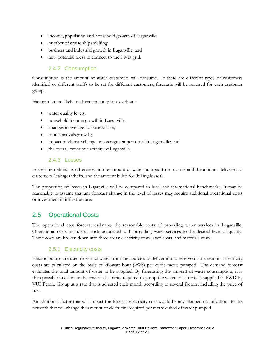- income, population and household growth of Luganville;
- number of cruise ships visiting;
- business and industrial growth in Luganville; and
- new potential areas to connect to the PWD grid.

#### 2.4.2 Consumption

Consumption is the amount of water customers will consume. If there are different types of customers identified or different tariffs to be set for different customers, forecasts will be required for each customer group.

Factors that are likely to affect consumption levels are:

- water quality levels;
- household income growth in Luganville;
- changes in average household size;
- tourist arrivals growth;
- impact of climate change on average temperatures in Luganville; and
- the overall economic activity of Luganville.

#### 2.4.3 Losses

Losses are defined as differences in the amount of water pumped from source and the amount delivered to customers (leakages/theft), and the amount billed for (billing losses).

The proportion of losses in Luganville will be compared to local and international benchmarks. It may be reasonable to assume that any forecast change in the level of losses may require additional operational costs or investment in infrastructure.

### 2.5 Operational Costs

The operational cost forecast estimates the reasonable costs of providing water services in Luganville. Operational costs include all costs associated with providing water services to the desired level of quality. These costs are broken down into three areas: electricity costs, staff costs, and materials costs.

#### 2.5.1 Electricity costs

Electric pumps are used to extract water from the source and deliver it into reservoirs at elevation. Electricity costs are calculated on the basis of kilowatt hour (kWh) per cubic metre pumped. The demand forecast estimates the total amount of water to be supplied. By forecasting the amount of water consumption, it is then possible to estimate the cost of electricity required to pump the water. Electricity is supplied to PWD by VUI Pernix Group at a rate that is adjusted each month according to several factors, including the price of fuel.

An additional factor that will impact the forecast electricity cost would be any planned modifications to the network that will change the amount of electricity required per metre cubed of water pumped.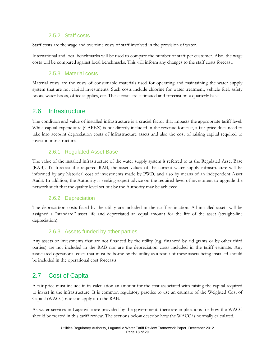#### 2.5.2 Staff costs

Staff costs are the wage and overtime costs of staff involved in the provision of water.

International and local benchmarks will be used to compare the number of staff per customer. Also, the wage costs will be compared against local benchmarks. This will inform any changes to the staff costs forecast.

#### 2.5.3 Material costs

Material costs are the costs of consumable materials used for operating and maintaining the water supply system that are not capital investments. Such costs include chlorine for water treatment, vehicle fuel, safety boots, water boots, office supplies, etc. These costs are estimated and forecast on a quarterly basis.

### 2.6 Infrastructure

The condition and value of installed infrastructure is a crucial factor that impacts the appropriate tariff level. While capital expenditure (CAPEX) is not directly included in the revenue forecast, a fair price does need to take into account depreciation costs of infrastructure assets and also the cost of raising capital required to invest in infrastructure.

#### 2.6.1 Regulated Asset Base

The value of the installed infrastructure of the water supply system is referred to as the Regulated Asset Base (RAB). To forecast the required RAB, the asset values of the current water supply infrastructure will be informed by any historical cost of investments made by PWD, and also by means of an independent Asset Audit. In addition, the Authority is seeking expert advice on the required level of investment to upgrade the network such that the quality level set out by the Authority may be achieved.

#### 2.6.2 Depreciation

The depreciation costs faced by the utility are included in the tariff estimation. All installed assets will be assigned a "standard" asset life and depreciated an equal amount for the life of the asset (straight-line depreciation).

#### 2.6.3 Assets funded by other parties

Any assets or investments that are not financed by the utility (e.g. financed by aid grants or by other third parties) are not included in the RAB nor are the depreciation costs included in the tariff estimate. Any associated operational costs that must be borne by the utility as a result of these assets being installed should be included in the operational cost forecasts.

### 2.7 Cost of Capital

A fair price must include in its calculation an amount for the cost associated with raising the capital required to invest in the infrastructure. It is common regulatory practice to use an estimate of the Weighted Cost of Capital (WACC) rate and apply it to the RAB.

As water services in Luganville are provided by the government, there are implications for how the WACC should be treated in this tariff review. The sections below describe how the WACC is normally calculated.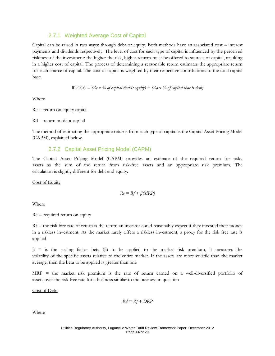#### 2.7.1 Weighted Average Cost of Capital

Capital can be raised in two ways: through debt or equity. Both methods have an associated cost – interest payments and dividends respectively. The level of cost for each type of capital is influenced by the perceived riskiness of the investment: the higher the risk, higher returns must be offered to sources of capital, resulting in a higher cost of capital. The process of determining a reasonable return estimates the appropriate return for each source of capital. The cost of capital is weighted by their respective contributions to the total capital base.

$$
WACC = (Re x % of capital that is equity) + (Rd x % of capital that is debt)
$$

Where

 $Re =$  return on equity capital

 $Rd$  = return on debt capital

The method of estimating the appropriate returns from each type of capital is the Capital Asset Pricing Model (CAPM), explained below.

#### 2.7.2 Capital Asset Pricing Model (CAPM)

The Capital Asset Pricing Model (CAPM) provides an estimate of the required return for risky assets as the sum of the return from risk-free assets and an appropriate risk premium. The calculation is slightly different for debt and equity:

Cost of Equity

$$
Re = Rf + \beta(MRP)
$$

Where

 $Re = required$  return on equity

 $Rf$  = the risk free rate of return is the return an investor could reasonably expect if they invested their money in a riskless investment. As the market rarely offers a riskless investment, a proxy for the risk free rate is applied

 $β =$  is the scaling factor beta ( $β$ ) to be applied to the market risk premium, it measures the volatility of the specific assets relative to the entire market. If the assets are more volatile than the market average, then the beta to be applied is greater than one

MRP = the market risk premium is the rate of return earned on a well-diversified portfolio of assets over the risk free rate for a business similar to the business in question

Cost of Debt

*Rd = Rf + DRP*

Where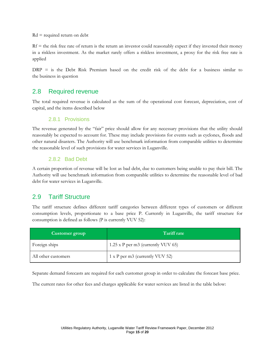$Rd$  = required return on debt

 $Rf$  = the risk free rate of return is the return an investor could reasonably expect if they invested their money in a riskless investment. As the market rarely offers a riskless investment, a proxy for the risk free rate is applied

DRP = is the Debt Risk Premium based on the credit risk of the debt for a business similar to the business in question

### 2.8 Required revenue

The total required revenue is calculated as the sum of the operational cost forecast, depreciation, cost of capital, and the items described below

#### 2.8.1 Provisions

The revenue generated by the "fair" price should allow for any necessary provisions that the utility should reasonably be expected to account for. These may include provisions for events such as cyclones, floods and other natural disasters. The Authority will use benchmark information from comparable utilities to determine the reasonable level of such provisions for water services in Luganville.

#### 2.8.2 Bad Debt

A certain proportion of revenue will be lost as bad debt, due to customers being unable to pay their bill. The Authority will use benchmark information from comparable utilities to determine the reasonable level of bad debt for water services in Luganville.

### 2.9 Tariff Structure

The tariff structure defines different tariff categories between different types of customers or different consumption levels, proportionate to a base price P. Currently in Luganville, the tariff structure for consumption is defined as follows (P is currently VUV 52):

| Customer group      | <b>Tariff rate</b>                   |
|---------------------|--------------------------------------|
| Foreign ships       | $1.25$ x P per m3 (currently VUV 65) |
| All other customers | 1 x P per m3 (currently VUV 52)      |

Separate demand forecasts are required for each customer group in order to calculate the forecast base price.

The current rates for other fees and charges applicable for water services are listed in the table below: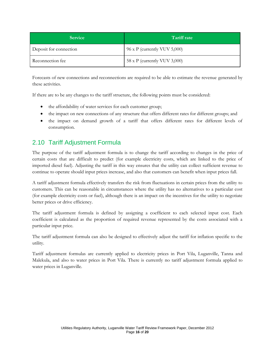| <b>Service</b>         | Tariff rate                         |
|------------------------|-------------------------------------|
| Deposit for connection | $96 \times P$ (currently VUV 5,000) |
| Reconnection fee       | $58 \times P$ (currently VUV 3,000) |

Forecasts of new connections and reconnections are required to be able to estimate the revenue generated by these activities.

If there are to be any changes to the tariff structure, the following points must be considered:

- the affordability of water services for each customer group;
- the impact on new connections of any structure that offers different rates for different groups; and
- the impact on demand growth of a tariff that offers different rates for different levels of consumption.

## 2.10 Tariff Adjustment Formula

The purpose of the tariff adjustment formula is to change the tariff according to changes in the price of certain costs that are difficult to predict (for example electricity costs, which are linked to the price of imported diesel fuel). Adjusting the tariff in this way ensures that the utility can collect sufficient revenue to continue to operate should input prices increase, and also that customers can benefit when input prices fall.

A tariff adjustment formula effectively transfers the risk from fluctuations in certain prices from the utility to customers. This can be reasonable in circumstances where the utility has no alternatives to a particular cost (for example electricity costs or fuel), although there is an impact on the incentives for the utility to negotiate better prices or drive efficiency.

The tariff adjustment formula is defined by assigning a coefficient to each selected input cost. Each coefficient is calculated as the proportion of required revenue represented by the costs associated with a particular input price.

The tariff adjustment formula can also be designed to effectively adjust the tariff for inflation specific to the utility.

Tariff adjustment formulas are currently applied to electricity prices in Port Vila, Luganville, Tanna and Malekula, and also to water prices in Port Vila. There is currently no tariff adjustment formula applied to water prices in Luganville.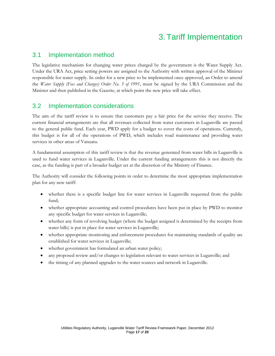## 3. Tariff Implementation

#### 3.1 Implementation method

The legislative mechanism for changing water prices charged by the government is the Water Supply Act. Under the URA Act, price setting powers are assigned to the Authority with written approval of the Minister responsible for water supply. In order for a new price to be implemented once approved, an Order to amend the *Water Supply (Fees and Charges) Order No. 5 of 1991*, must be signed by the URA Commission and the Minister and then published in the Gazette, at which point the new price will take effect.

### 3.2 Implementation considerations

The aim of the tariff review is to ensure that customers pay a fair price for the service they receive. The current financial arrangements are that all revenues collected from water customers in Luganville are passed to the general public fund. Each year, PWD apply for a budget to cover the costs of operations. Currently, this budget is for all of the operations of PWD, which includes road maintenance and providing water services in other areas of Vanuatu.

A fundamental assumption of this tariff review is that the revenue generated from water bills in Luganville is used to fund water services in Luganville. Under the current funding arrangements this is not directly the case, as the funding is part of a broader budget set at the discretion of the Ministry of Finance.

The Authority will consider the following points in order to determine the most appropriate implementation plan for any new tariff:

- whether there is a specific budget line for water services in Luganville requested from the public fund;
- whether appropriate accounting and control procedures have been put in place by PWD to monitor any specific budget for water services in Luganville;
- whether any form of revolving budget (where the budget assigned is determined by the receipts from water bills) is put in place for water services in Luganville;
- whether appropriate monitoring and enforcement procedures for maintaining standards of quality are established for water services in Luganville;
- whether government has formulated an urban water policy;
- any proposed review and/or changes to legislation relevant to water services in Luganville; and
- the timing of any planned upgrades to the water sources and network in Luganville.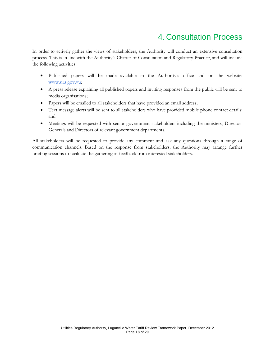## 4. Consultation Process

In order to actively gather the views of stakeholders, the Authority will conduct an extensive consultation process. This is in line with the Authority's Charter of Consultation and Regulatory Practice, and will include the following activities:

- Published papers will be made available in the Authority's office and on the website[:](http://www.ura.gov.vu/) [www.ura.gov.vu](http://www.ura.gov.vu/);
- A press release explaining all published papers and inviting responses from the public will be sent to media organisations;
- Papers will be emailed to all stakeholders that have provided an email address;
- Text message alerts will be sent to all stakeholders who have provided mobile phone contact details; and
- Meetings will be requested with senior government stakeholders including the ministers, Director-Generals and Directors of relevant government departments.

All stakeholders will be requested to provide any comment and ask any questions through a range of communication channels. Based on the response from stakeholders, the Authority may arrange further briefing sessions to facilitate the gathering of feedback from interested stakeholders.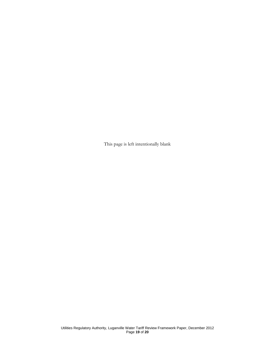This page is left intentionally blank